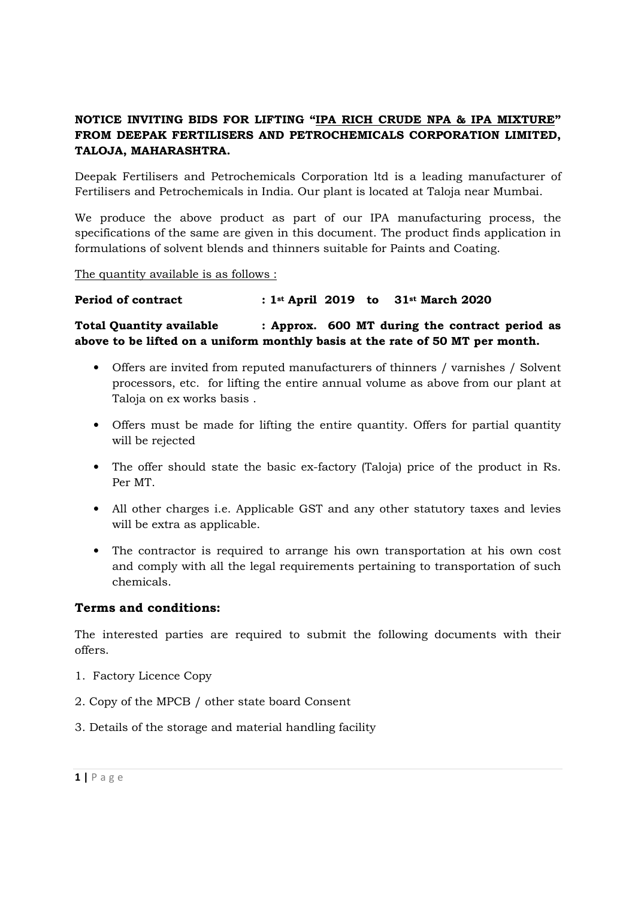# NOTICE INVITING BIDS FOR LIFTING "IPA RICH CRUDE NPA & IPA MIXTURE" FROM DEEPAK FERTILISERS AND PETROCHEMICALS CORPORATION LIMITED, TALOJA, MAHARASHTRA.

Deepak Fertilisers and Petrochemicals Corporation ltd is a leading manufacturer of Fertilisers and Petrochemicals in India. Our plant is located at Taloja near Mumbai.

We produce the above product as part of our IPA manufacturing process, the specifications of the same are given in this document. The product finds application in formulations of solvent blends and thinners suitable for Paints and Coating.

The quantity available is as follows :

## Period of contract : 1st April 2019 to 31st March 2020

Total Quantity available : Approx. 600 MT during the contract period as above to be lifted on a uniform monthly basis at the rate of 50 MT per month.

- Offers are invited from reputed manufacturers of thinners / varnishes / Solvent processors, etc. for lifting the entire annual volume as above from our plant at Taloja on ex works basis .
- Offers must be made for lifting the entire quantity. Offers for partial quantity will be rejected
- The offer should state the basic ex-factory (Taloja) price of the product in Rs. Per MT.
- All other charges i.e. Applicable GST and any other statutory taxes and levies will be extra as applicable.
- The contractor is required to arrange his own transportation at his own cost and comply with all the legal requirements pertaining to transportation of such chemicals.

## Terms and conditions:

The interested parties are required to submit the following documents with their offers.

- 1. Factory Licence Copy
- 2. Copy of the MPCB / other state board Consent
- 3. Details of the storage and material handling facility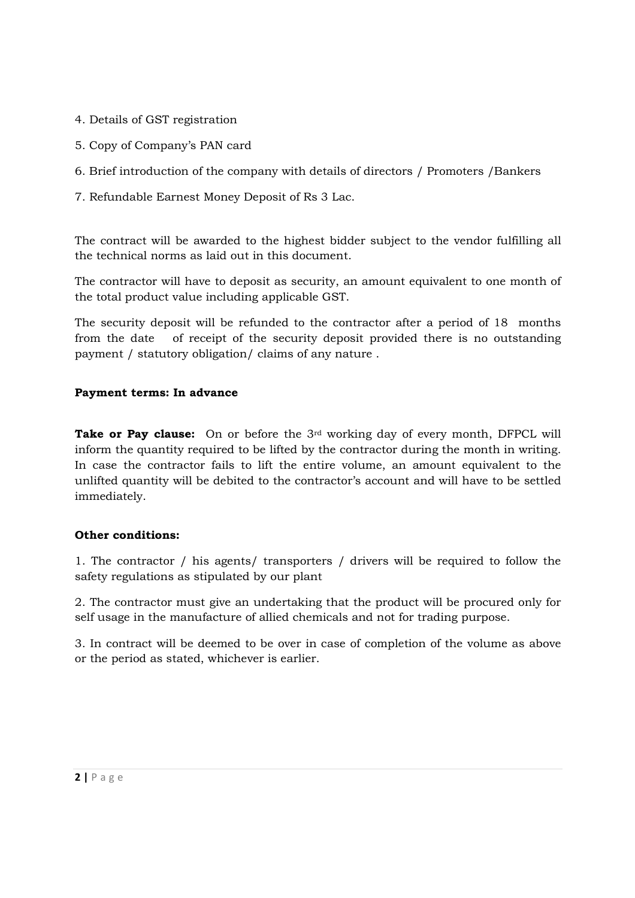- 4. Details of GST registration
- 5. Copy of Company's PAN card
- 6. Brief introduction of the company with details of directors / Promoters /Bankers
- 7. Refundable Earnest Money Deposit of Rs 3 Lac.

The contract will be awarded to the highest bidder subject to the vendor fulfilling all the technical norms as laid out in this document.

The contractor will have to deposit as security, an amount equivalent to one month of the total product value including applicable GST.

The security deposit will be refunded to the contractor after a period of 18 months from the date of receipt of the security deposit provided there is no outstanding payment / statutory obligation/ claims of any nature .

## Payment terms: In advance

**Take or Pay clause:** On or before the 3<sup>rd</sup> working day of every month, DFPCL will inform the quantity required to be lifted by the contractor during the month in writing. In case the contractor fails to lift the entire volume, an amount equivalent to the unlifted quantity will be debited to the contractor's account and will have to be settled immediately.

## Other conditions:

1. The contractor / his agents/ transporters / drivers will be required to follow the safety regulations as stipulated by our plant

2. The contractor must give an undertaking that the product will be procured only for self usage in the manufacture of allied chemicals and not for trading purpose.

3. In contract will be deemed to be over in case of completion of the volume as above or the period as stated, whichever is earlier.